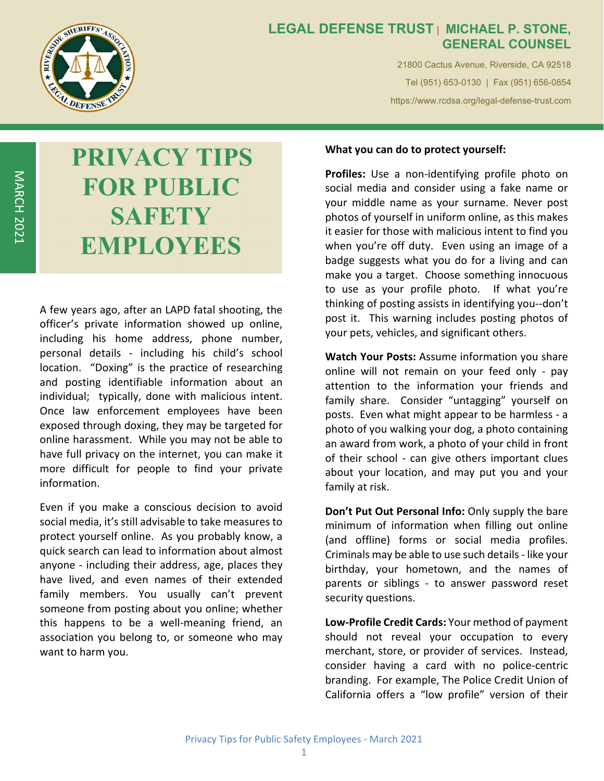

MARCH

2021

## **LEGAL DEFENSE TRUST | MICHAEL P. STONE, GENERAL COUNSEL**

21800 Cactus Avenue, Riverside, CA 92518 Tel (951) 653-0130 | Fax (951) 656-0854 https://www.rcdsa.org/legal-defense-trust.com

# **PRIVACY TIPS FOR PUBLIC SAFETY EMPLOYEES**

A few years ago, after an LAPD fatal shooting, the officer's private information showed up online, including his home address, phone number, personal details - including his child's school location. "Doxing" is the practice of researching and posting identifiable information about an individual; typically, done with malicious intent. Once law enforcement employees have been exposed through doxing, they may be targeted for online harassment. While you may not be able to have full privacy on the internet, you can make it more difficult for people to find your private information.

Even if you make a conscious decision to avoid social media, it's still advisable to take measures to protect yourself online. As you probably know, a quick search can lead to information about almost anyone - including their address, age, places they have lived, and even names of their extended family members. You usually can't prevent someone from posting about you online; whether this happens to be a well‐meaning friend, an association you belong to, or someone who may want to harm you.

### **What you can do to protect yourself:**

**Profiles:** Use a non‐identifying profile photo on social media and consider using a fake name or your middle name as your surname. Never post photos of yourself in uniform online, as this makes it easier for those with malicious intent to find you when you're off duty. Even using an image of a badge suggests what you do for a living and can make you a target. Choose something innocuous to use as your profile photo. If what you're thinking of posting assists in identifying you‐‐don't post it. This warning includes posting photos of your pets, vehicles, and significant others.

**Watch Your Posts:** Assume information you share online will not remain on your feed only ‐ pay attention to the information your friends and family share. Consider "untagging" yourself on posts. Even what might appear to be harmless ‐ a photo of you walking your dog, a photo containing an award from work, a photo of your child in front of their school - can give others important clues about your location, and may put you and your family at risk.

**Don't Put Out Personal Info:** Only supply the bare minimum of information when filling out online (and offline) forms or social media profiles. Criminals may be able to use such details ‐ like your birthday, your hometown, and the names of parents or siblings - to answer password reset security questions.

**Low‐Profile Credit Cards:** Your method of payment should not reveal your occupation to every merchant, store, or provider of services. Instead, consider having a card with no police‐centric branding. For example, The Police Credit Union of California offers a "low profile" version of their